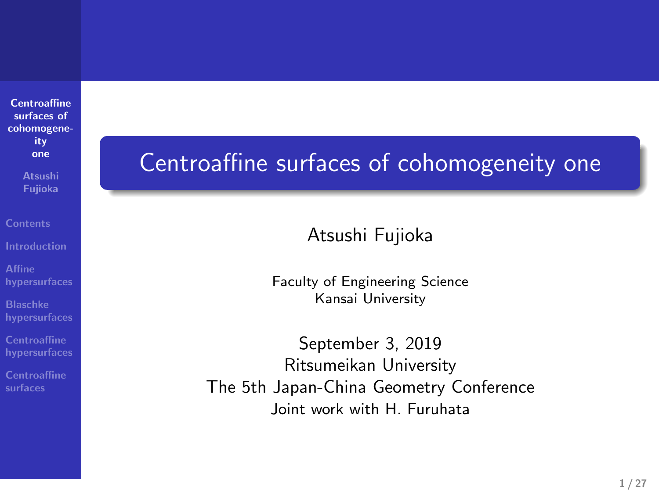**Centroaffine surfaces of cohomogene-ity one Atsushi Fujioka**

**Affine hypersurfaces**

**Blaschke hypersurfaces**

**Centroaffine hypersurfaces**

**Centroaffine surfaces**

Joint work with H. Furuhata

Centroaffine surfaces of cohomogeneity one

Atsushi Fujioka

Faculty of Engineering Science Kansai University

September 3, 2019 Ritsumeikan University The 5th Japan-China Geometry Conference

**1 / 27**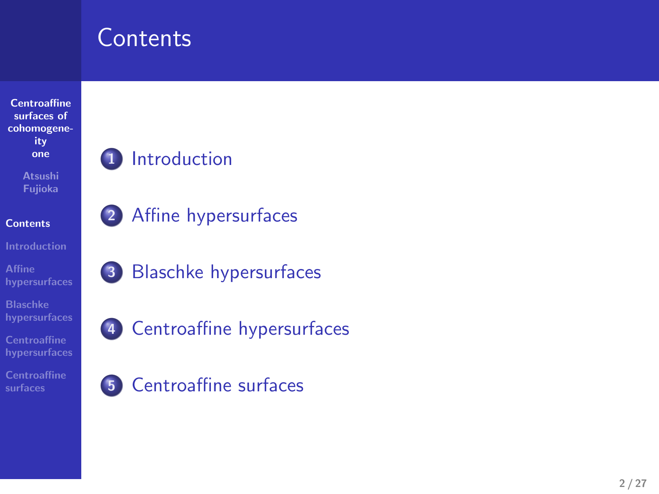# **Contents**



- **1** Introduction
- **2** Affine hypersurfaces

**3** Blaschke hypersurfaces



**5** Centroaffine surfaces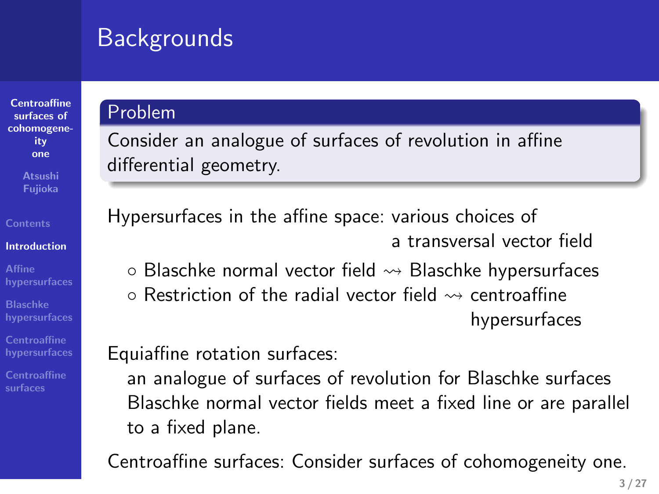### Backgrounds

# **Centroaffine surfaces of cohomogeneity one**

**Introduction Affine hypersurfaces**

**Contents**

**Blaschke hypersurfaces Centroaffine hypersurfaces Centroaffine surfaces**

# Problem

Consider an analogue of surfaces of revolution in affine differential geometry.

Hypersurfaces in the affine space: various choices of a transversal vector field *◦* Blaschke normal vector field ⇝ Blaschke hypersurfaces *◦* Restriction of the radial vector field ⇝ centroaffine hypersurfaces

Equiaffine rotation surfaces:

an analogue of surfaces of revolution for Blaschke surfaces Blaschke normal vector fields meet a fixed line or are parallel to a fixed plane.

Centroaffine surfaces: Consider surfaces of cohomogeneity one.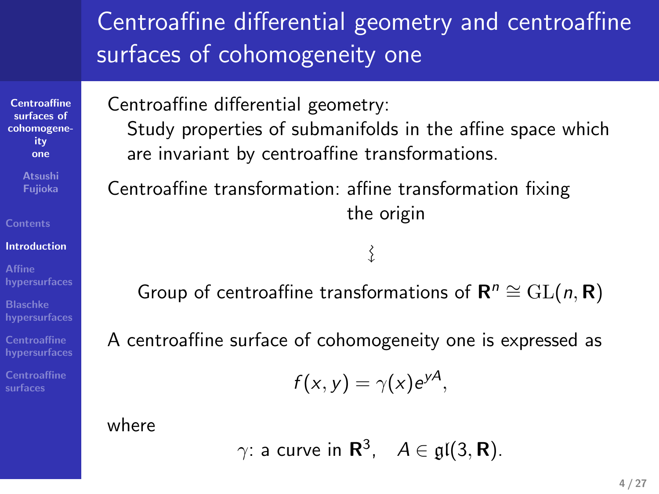### Centroaffine differential geometry and centroaffine surfaces of cohomogeneity one

Centroaffine differential geometry:

Study properties of submanifolds in the affine space which are invariant by centroaffine transformations.

Centroaffine transformation: affine transformation fixing the origin

Group of centroaffine transformations of  $\mathbf{R}^n \cong GL(n, \mathbf{R})$ 

A centroaffine surface of cohomogeneity one is expressed as

$$
f(x, y) = \gamma(x) e^{yA},
$$

 $\left\{ \right.$ 

where

**Centroaffine surfaces of cohomogeneity one Atsushi Fujioka**

**Contents Introduction Affine hypersurfaces Blaschke hypersurfaces Centroaffine hypersurfaces Centroaffine surfaces**

 $\gamma$ : a curve in  $\mathbf{R}^3$ ,  $A \in \mathfrak{gl}(3,\mathbf{R})$ .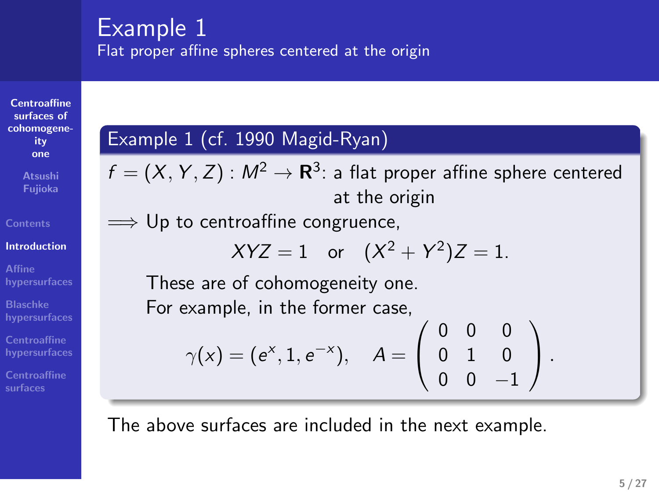### Example 1

Flat proper affine spheres centered at the origin

**Centroaffine surfaces of cohomogene-ity one Atsushi Fujioka**

**Contents Introduction Affine hypersurfaces Blaschke hypersurfaces Centroaffine hypersurfaces Centroaffine surfaces**

### Example 1 (cf. 1990 Magid-Ryan)

 $f = (X, Y, Z) : M^2 \rightarrow {\bf R}^3$ : a flat proper affine sphere centered at the origin =*⇒* Up to centroaffine congruence,  $XYZ = 1$  or  $(X^2 + Y^2)Z = 1$ . These are of cohomogeneity one. For example, in the former case,  $\gamma(x) = (e^x, 1, e^{-x}), \quad A =$  $\sqrt{ }$  $\mathcal{L}$ 0 0 0 0 1 0 0 0 *−*1  $\setminus$ *.*

The above surfaces are included in the next example.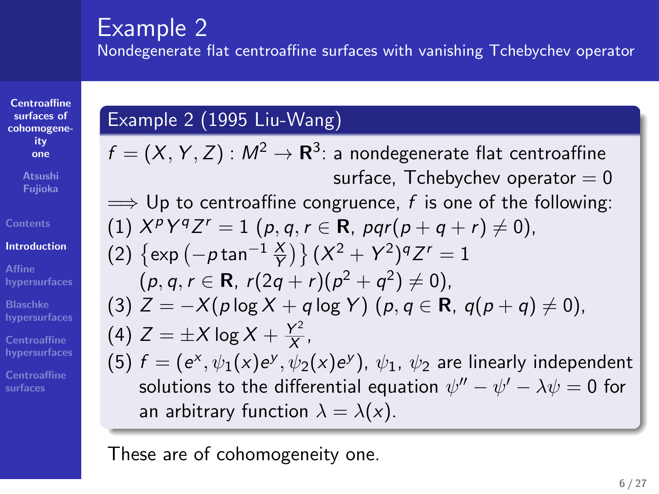### Example 2

Nondegenerate flat centroaffine surfaces with vanishing Tchebychev operator

 $f = (X, Y, Z) : M^2 \rightarrow {\bf R}^3$ : a nondegenerate flat centroaffine

=*⇒* Up to centroaffine congruence, *f* is one of the following:

(3)  $Z = -X(p \log X + q \log Y)$   $(p, q \in \mathbb{R}, q(p+q) \neq 0)$ ,

(5)  $f = (e^x, \psi_1(x)e^y, \psi_2(x)e^y)$ ,  $\psi_1$ ,  $\psi_2$  are linearly independent solutions to the differential equation  $\psi''-\psi'-\lambda\psi=0$  for

 $(1)$   $X^pY^qZ^r = 1$   $(p, q, r \in \mathbb{R}, pqr(p+q+r) \neq 0),$ 

 $(2) \{ exp(-p tan^{-1} \frac{X}{Y}) \} (X^2 + Y^2)^q Z^r = 1$  $(p, q, r \in \mathbb{R}, r(2q + r)(p^2 + q^2) \neq 0$ 

 $\frac{Y^2}{X}$ ,

surface, Tchebychev operator  $= 0$ 

### **Centroaffine surfaces of cohomogeneity one Fujioka**

**Contents Introduction**

**Affine hypersurfaces Blaschke hypersurfaces**

**Centroaffine surfaces**

an arbitrary function  $\lambda = \lambda(x)$ .

(4)  $Z = \pm X \log X + \frac{Y^2}{X}$ 

Example 2 (1995 Liu-Wang)

These are of cohomogeneity one.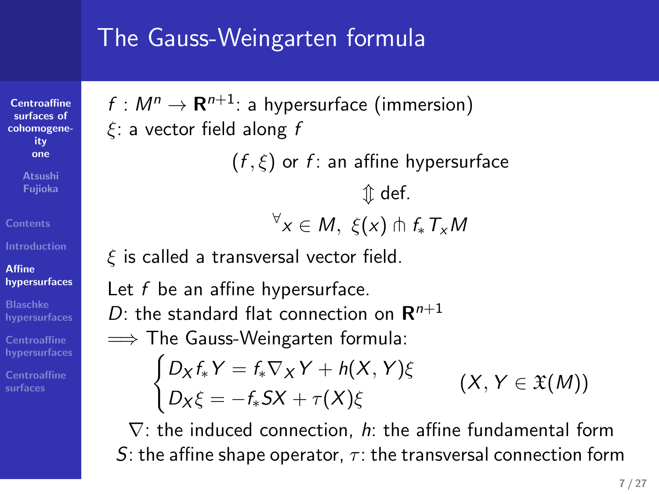# The Gauss-Weingarten formula

 $f : M^n \to \mathbf{R}^{n+1}$ : a hypersurface (immersion) *ξ*: a vector field along *f*

**Centroaffine surfaces of cohomogeneity one Atsushi Fujioka**

**Contents**

**Affine hypersurfaces Blaschke hypersurfaces Centroaffine hypersurfaces Centroaffine surfaces**

(*f , ξ*) or *f* : an affine hypersurface

$$
\begin{aligned}\n&\Downarrow \text{def.} \\
\forall x \in M, \ \xi(x) \pitchfork f_* T_x M\n\end{aligned}
$$

*ξ* is called a transversal vector field.

Let *f* be an affine hypersurface.

 $D$ : the standard flat connection on  $\mathbf{R}^{n+1}$ 

=*⇒* The Gauss-Weingarten formula:

$$
\begin{cases} D_X f_* Y = f_* \nabla_X Y + h(X, Y) \xi \\ D_X \xi = -f_* S X + \tau(X) \xi \end{cases} (X, Y \in \mathfrak{X}(M))
$$

*∇*: the induced connection, *h*: the affine fundamental form *S*: the affine shape operator, *τ* : the transversal connection form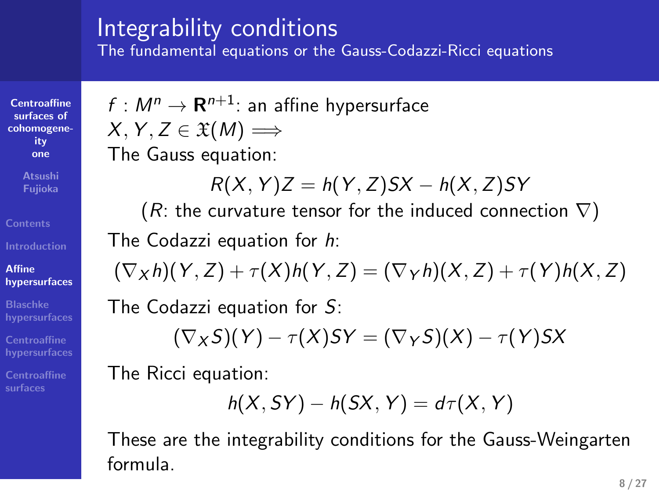# Integrability conditions

The fundamental equations or the Gauss-Codazzi-Ricci equations

**Centroaffine surfaces of cohomogene-ity one**

**Atsushi Fujioka Contents**

**Affine hypersurfaces Blaschke hypersurfaces Centroaffine hypersurfaces Centroaffine surfaces**

 $f : M^n \to \mathbf{R}^{n+1}$ : an affine hypersurface  $X, Y, Z \in \mathfrak{X}(M) \Longrightarrow$ The Gauss equation:

$$
R(X,Y)Z = h(Y,Z)SX - h(X,Z)SY
$$

(*R*: the curvature tensor for the induced connection *∇*)

The Codazzi equation for *h*:

$$
(\nabla_X h)(Y,Z)+\tau(X)h(Y,Z)=(\nabla_Y h)(X,Z)+\tau(Y)h(X,Z)
$$

The Codazzi equation for *S*:

$$
(\nabla_X S)(Y) - \tau(X)SY = (\nabla_Y S)(X) - \tau(Y)SX
$$

The Ricci equation:

$$
h(X, SY) - h(SX, Y) = d\tau(X, Y)
$$

These are the integrability conditions for the Gauss-Weingarten formula.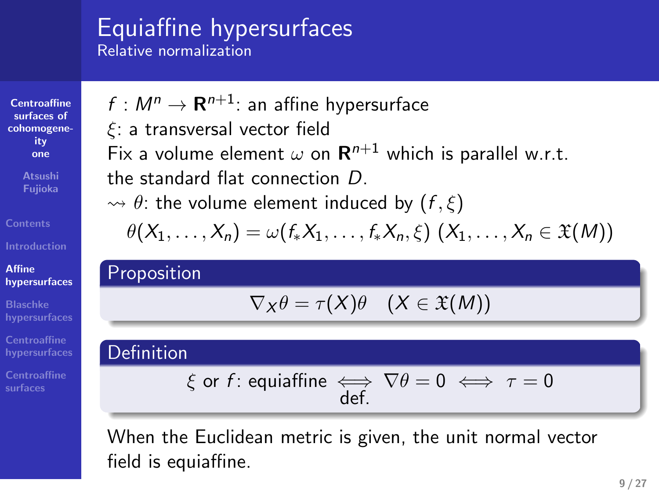### Equiaffine hypersurfaces Relative normalization

*ξ*: a transversal vector field

the standard flat connection *D*.

 $f : M^n \rightarrow \mathbf{R}^{n+1}$ : an affine hypersurface

**Centroaffine surfaces of cohomogene-ity one Atsushi Fujioka Contents Affine hypersurfaces Blaschke hypersurfaces Centroaffine hypersurfaces**

**Centroaffine surfaces**

 $\rightsquigarrow \theta$ : the volume element induced by  $(f, \xi)$  $\theta(X_1, \ldots, X_n) = \omega(f_*X_1, \ldots, f_*X_n, \xi) (X_1, \ldots, X_n \in \mathfrak{X}(M))$ Proposition  $\nabla_X \theta = \tau(X)\theta$   $(X \in \mathfrak{X}(M))$ Definition *ξ* or *f* : equiaffine *⇐⇒* def.  $\nabla \theta = 0 \iff \tau = 0$ 

Fix a volume element  $\omega$  on  $\mathbf{R}^{n+1}$  which is parallel w.r.t.

When the Euclidean metric is given, the unit normal vector field is equiaffine.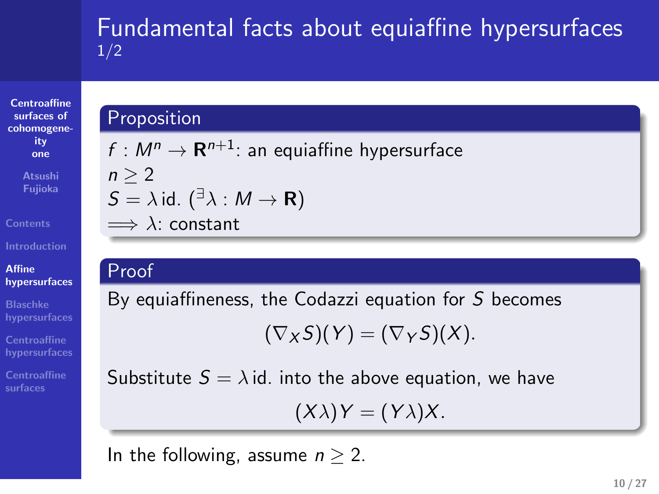# Fundamental facts about equiaffine hypersurfaces 1/2

### **Centroaffine surfaces of cohomogeneity one Atsushi Fujioka**

**Affine hypersurfaces Blaschke hypersurfaces Centroaffine hypersurfaces Centroaffine surfaces**

### **Proposition**

 $f : M^n \to \mathbf{R}^{n+1}$ : an equiaffine hypersurface *n ≥* 2 *S* =  $\lambda$  id. ( $\overline{a}$  $\lambda$  : *M*  $\rightarrow$  **R**) =*⇒ λ*: constant

### Proof

By equiaffineness, the Codazzi equation for *S* becomes

 $(\nabla_X S)(Y) = (\nabla_Y S)(X).$ 

Substitute  $S = \lambda$  id. into the above equation, we have

 $(X\lambda)Y = (Y\lambda)X$ .

In the following, assume  $n \geq 2$ .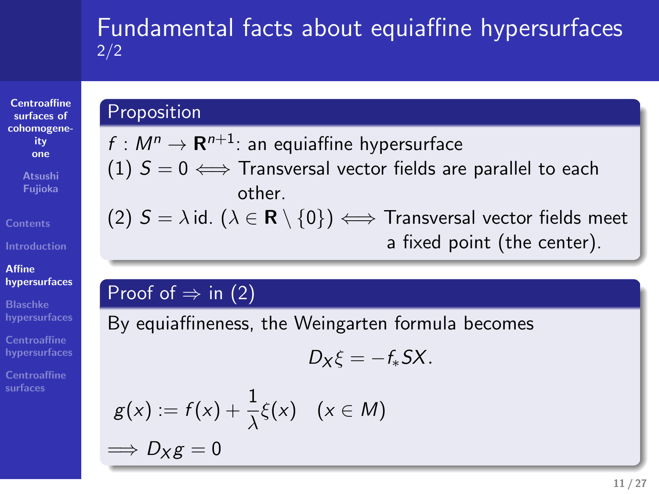# Fundamental facts about equiaffine hypersurfaces 2/2

**Centroaffine surfaces of cohomogeneity one Atsushi Fujioka**

**Contents**

**Affine hypersurfaces Blaschke hypersurfaces Centroaffine hypersurfaces Centroaffine surfaces**

### **Proposition**

 $f : M^n \to \mathbf{R}^{n+1}$ : an equiaffine hypersurface (1)  $S = 0$   $\Longleftrightarrow$  Transversal vector fields are parallel to each other. (2) *S* = *λ* id. (*λ ∈* **R** *\ {*0*}*) *⇐⇒* Transversal vector fields meet

a fixed point (the center).

### Proof of  $\Rightarrow$  in (2)

By equiaffineness, the Weingarten formula becomes

$$
D_X\xi=-f_*SX.
$$

$$
g(x) := f(x) + \frac{1}{\lambda} \xi(x) \quad (x \in M)
$$
  
\n
$$
\implies D_X g = 0
$$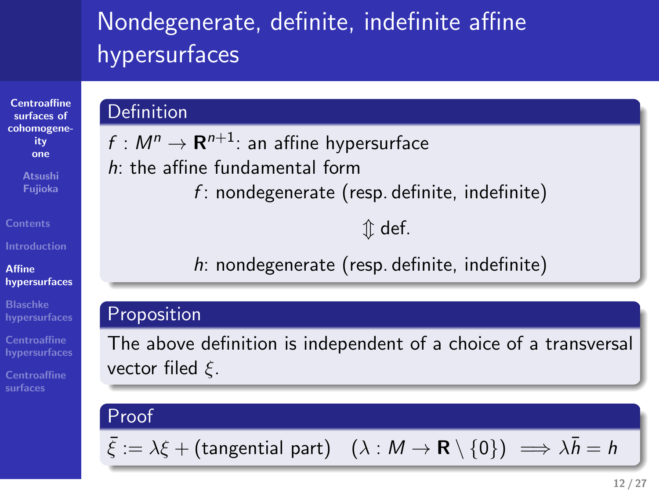# Nondegenerate, definite, indefinite affine hypersurfaces

 $f : M^n \to \mathbf{R}^{n+1}$ : an affine hypersurface

*h*: the affine fundamental form

### **Centroaffine surfaces of cohomogeneity one Atsushi Fujioka Contents**

### **Affine hypersurfaces Blaschke hypersurfaces**

**Centroaffine hypersurfaces Centroaffine surfaces**

# Proof

**Definition** 

Proposition

vector filed *ξ*.

 $\bar{\xi}$  :=  $\lambda \xi$  + (tangential part)  $(\lambda : M \to \mathbf{R} \setminus \{0\}) \implies \lambda \bar{h} = h$ 

*f* : nondegenerate (resp. definite, indefinite)

*h*: nondegenerate (resp. definite, indefinite)

The above definition is independent of a choice of a transversal

*⇕* def.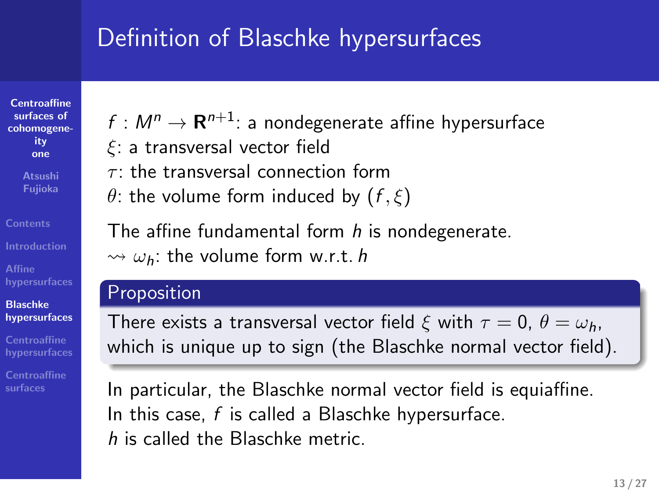### Definition of Blaschke hypersurfaces

**Centroaffine surfaces of cohomogeneity one**

**Contents**

**Affine hypersurfaces Blaschke hypersurfaces**

**Centroaffine surfaces**

### $f : M^n \rightarrow \mathbf{R}^{n+1}$ : a nondegenerate affine hypersurface

- *ξ*: a transversal vector field
- *τ* : the transversal connection form
- *θ*: the volume form induced by  $(f, \xi)$

The affine fundamental form *h* is nondegenerate.

 $\rightsquigarrow \omega_h$ : the volume form w.r.t. *h* 

### Proposition

There exists a transversal vector field  $\xi$  with  $\tau = 0$ ,  $\theta = \omega_h$ , which is unique up to sign (the Blaschke normal vector field).

In particular, the Blaschke normal vector field is equiaffine. In this case, *f* is called a Blaschke hypersurface. *h* is called the Blaschke metric.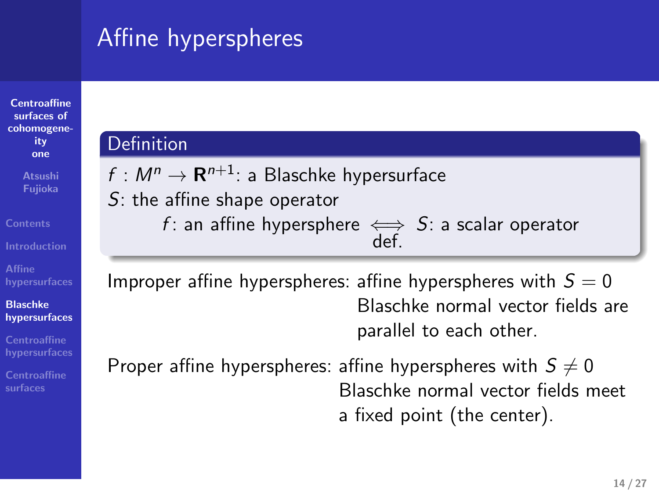### Affine hyperspheres

 $f : M^n \rightarrow \mathbf{R}^{n+1}$ : a Blaschke hypersurface

| Centroaffine<br>surfaces of |
|-----------------------------|
| cohomogene-                 |
| ity                         |
| one                         |
| <b>Atsushi</b><br>Fujioka   |

**Affine hypersurfaces** *S*: the affine shape operator *f* : an affine hypersphere *⇐⇒* Improper affine hyperspheres: affine hyperspheres with  $S = 0$ 

Definition

**Blaschke hypersurfaces Centroaffine hypersurfaces**

**Centroaffine surfaces**

parallel to each other. Proper affine hyperspheres: affine hyperspheres with  $S \neq 0$ Blaschke normal vector fields meet a fixed point (the center).

def.

*S*: a scalar operator

Blaschke normal vector fields are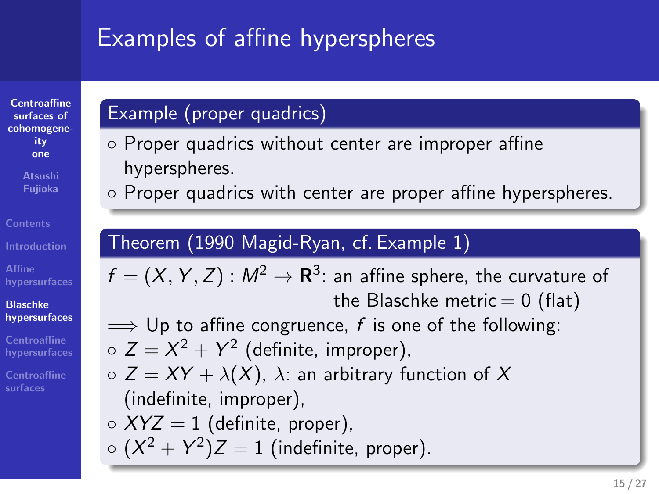### Examples of affine hyperspheres

*◦* Proper quadrics without center are improper affine

Theorem (1990 Magid-Ryan, cf. Example 1)

*◦* Proper quadrics with center are proper affine hyperspheres.

 $f = (X, Y, Z) : M^2 \rightarrow {\bf R}^3$ : an affine sphere, the curvature of

=*⇒* Up to affine congruence, *f* is one of the following:

 $\circ$  *Z* = *XY* +  $\lambda$ (*X*),  $\lambda$ : an arbitrary function of *X* 

the Blaschke metric  $= 0$  (flat)

### **Centroaffine surfaces of cohomogeneity one**

# **Contents**

# **Affine hypersurfaces Blaschke hypersurfaces**

# **Centroaffine surfaces**

(indefinite, improper), *◦ XYZ* = 1 (definite, proper),

Example (proper quadrics)

hyperspheres.

 $\circ$   $(X^2 + Y^2)Z = 1$  (indefinite, proper).

 $\circ$   $Z = X^2 + Y^2$  (definite, improper),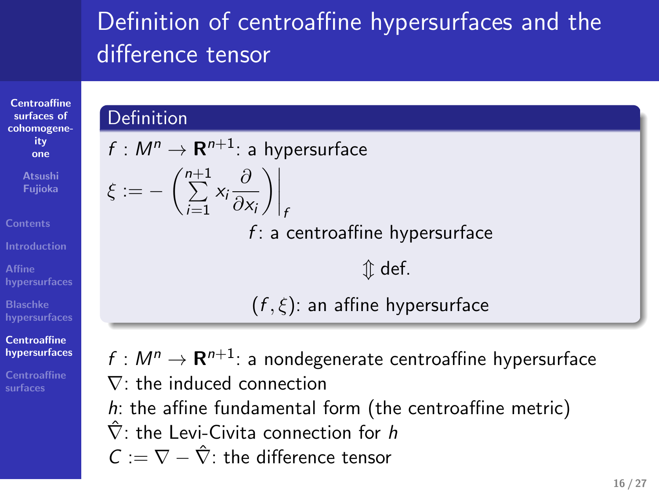# Definition of centroaffine hypersurfaces and the difference tensor

### **Definition**

**Centroaffine surfaces of cohomogeneity one**

**Fujioka Contents**

**Affine hypersurfaces Blaschke hypersurfaces Centroaffine hypersurfaces Centroaffine surfaces**

 $f : M^n \rightarrow \mathbf{R}^{n+1}$ : a hypersurface  $\xi := -\left(\sum^{n+1} \right)$ *i*=1 *xi ∂ ∂x<sup>i</sup>*  $\left.\rule{0pt}{2.5pt}\right)\right|_{t}$ *f* : a centroaffine hypersurface *⇕* def. (*f , ξ*): an affine hypersurface

 $f : M^n \to \mathbf{R}^{n+1}$ : a nondegenerate centroaffine hypersurface *∇*: the induced connection *h*: the affine fundamental form (the centroaffine metric) *∇*ˆ : the Levi-Civita connection for *h C* := *∇ − ∇*ˆ : the difference tensor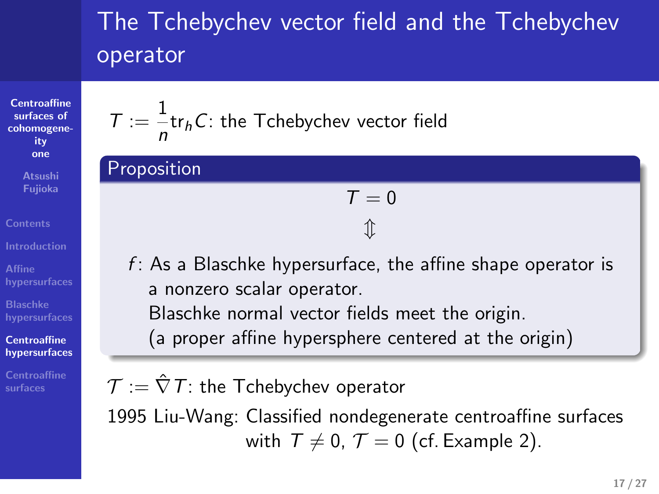# The Tchebychev vector field and the Tchebychev operator

**Centroaffine surfaces of cohomogeneity one Atsushi Fujioka**

**Affine hypersurfaces Blaschke hypersurfaces**

**Contents**

**Centroaffine hypersurfaces Centroaffine surfaces**

 $T := \frac{1}{1}$ *n* tr*hC*: the Tchebychev vector field

Proposition

$$
\begin{aligned} \mathcal{T} &= 0 \\ \mathbb{T} \end{aligned}
$$

*f* : As a Blaschke hypersurface, the affine shape operator is a nonzero scalar operator. Blaschke normal vector fields meet the origin. (a proper affine hypersphere centered at the origin)

*T* := *∇*ˆ*T*: the Tchebychev operator

1995 Liu-Wang: Classified nondegenerate centroaffine surfaces with  $T \neq 0$ ,  $T = 0$  (cf. Example 2).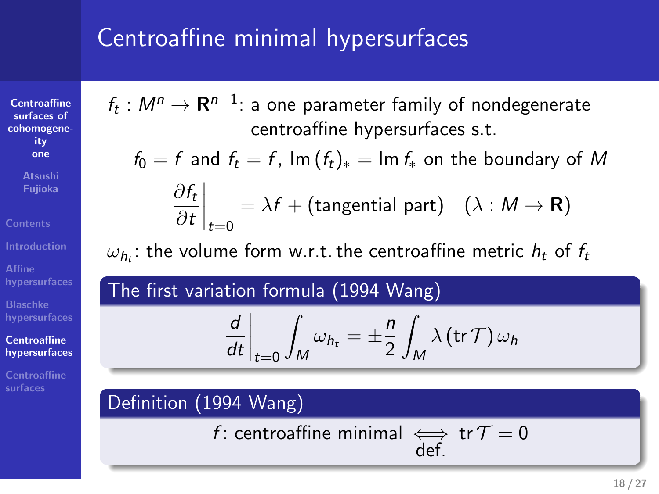# Centroaffine minimal hypersurfaces

**Centroaffine surfaces of cohomogeneity one Atsushi Fujioka**

**Contents**

**Affine hypersurfaces Blaschke hypersurfaces**

**Centroaffine hypersurfaces**

**Centroaffine surfaces**

 $f_t: M^n \rightarrow {\bf R}^{n+1}$ : a one parameter family of nondegenerate centroaffine hypersurfaces s.t.

 $f_0 = f$  and  $f_t = f$ ,  $\text{Im}(f_t)_* = \text{Im } f_*$  on the boundary of *M ∂f<sup>t</sup>*

$$
\left.\frac{\partial f_t}{\partial t}\right|_{t=0} = \lambda f + \text{(tangential part)} \quad (\lambda : M \to \mathbf{R})
$$

 $\omega_{h_t}$ : the volume form w.r.t. the centroaffine metric  $h_t$  of  $f_t$ 

The first variation formula (1994 Wang)

$$
\left. \frac{d}{dt} \right|_{t=0} \int_M \omega_{h_t} = \pm \frac{n}{2} \int_M \lambda \left( \text{tr} \, \mathcal{T} \right) \omega_h
$$

Definition (1994 Wang)

*f* : centroaffine minimal *⇐⇒* def.

**18 / 27**

tr  $\mathcal{T}=0$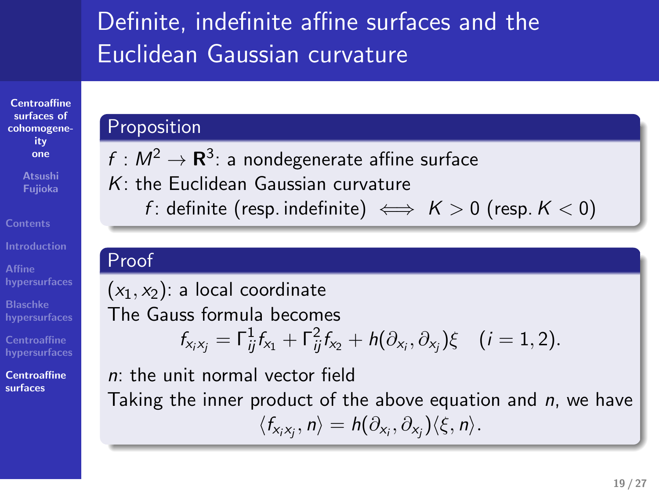### Definite, indefinite affine surfaces and the Euclidean Gaussian curvature

### **Centroaffine surfaces of cohomogene-ity one Proposition**

**Atsushi Fujioka**

**Affine hypersurfaces Blaschke hypersurfaces Centroaffine hypersurfaces Centroaffine surfaces**

**Contents**

 $f: M^2 \rightarrow {\bf R}^3$ : a nondegenerate affine surface *K*: the Euclidean Gaussian curvature *f* : definite (resp. indefinite)  $\iff$  *K* > 0 (resp. *K* < 0)

### Proof

 $(x_1, x_2)$ : a local coordinate The Gauss formula becomes  $f_{x_i x_j} = \Gamma_{ij}^1 f_{x_1} + \Gamma_{ij}^2 f_{x_2} + h(\partial_{x_i}, \partial_{x_j}) \xi \quad (i = 1, 2).$ *n*: the unit normal vector field

Taking the inner product of the above equation and *n*, we have  $\langle f_{x_i x_j}, n \rangle = h(\partial_{x_i}, \partial_{x_j}) \langle \xi, n \rangle.$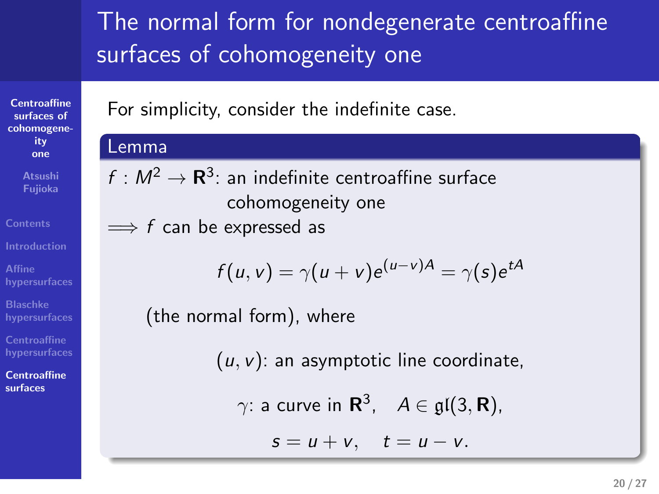## The normal form for nondegenerate centroaffine surfaces of cohomogeneity one

For simplicity, consider the indefinite case.

### Lemma

**Centroaffine surfaces of cohomogeneity one Atsushi Fujioka**

**Affine hypersurfaces Blaschke hypersurfaces Centroaffine hypersurfaces Centroaffine surfaces**

 $f: M^2 \to \mathbf{R}^3$ : an indefinite centroaffine surface cohomogeneity one =*⇒ f* can be expressed as

$$
f(u, v) = \gamma(u + v)e^{(u - v)A} = \gamma(s)e^{tA}
$$

(the normal form), where

(*u, v*): an asymptotic line coordinate,

$$
\gamma
$$
: a curve in  $\mathbf{R}^3$ ,  $A \in \mathfrak{gl}(3, \mathbf{R})$ ,

 $s = u + v$ ,  $t = u - v$ .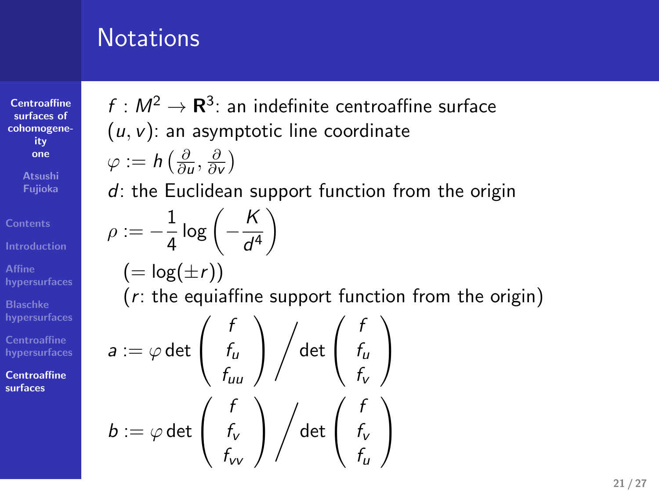### **Notations**

**Centroaffine surfaces of cohomogeneity one Atsushi Fujioka Contents Introduction Affine hypersurfaces Blaschke hypersurfaces Centroaffine hypersurfaces**

**Centroaffine surfaces**

 $f: M^2 \to \mathbf{R}^3$ : an indefinite centroaffine surface (*u, v*): an asymptotic line coordinate *φ* := *h* ( *∂ ∂u , ∂ ∂v* ) *d*: the Euclidean support function from the origin  $\rho := -\frac{1}{4}$  $\frac{1}{4}$  log  $\left(-\frac{\mathcal{K}}{d^{\prime}}\right)$ *d* 4  $\setminus$  $(=\log(\pm r))$ (*r*: the equiaffine support function from the origin)  $a := \varphi$  det  $\sqrt{ }$  $\overline{1}$ *f fu fuu*  $\setminus$  $\overline{1}$ / det  $\sqrt{ }$  $\overline{1}$ *f fu fv*  $\setminus$  $\overline{1}$  $b := \varphi$  det  $\sqrt{ }$  $\mathcal{L}$ *f fv fvv*  $\setminus$  $\overline{1}$ / det  $\sqrt{ }$  $\mathcal{L}$ *f fv fu*  $\setminus$  $\overline{1}$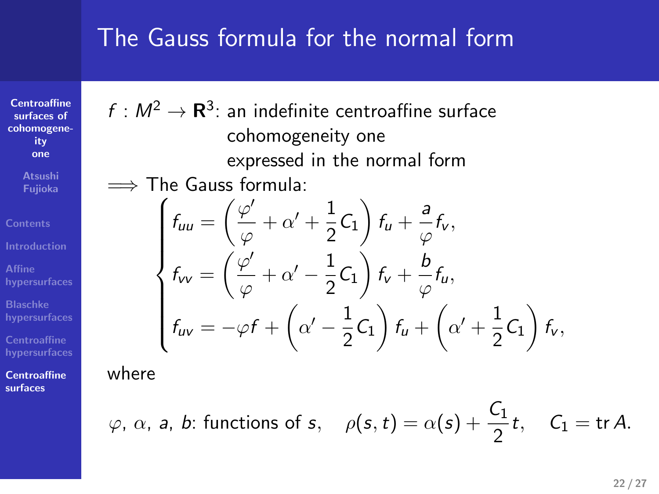### The Gauss formula for the normal form

 $f: M^2 \to \mathbf{R}^3$ : an indefinite centroaffine surface cohomogeneity one

 $\frac{\varphi'}{\varphi} + \alpha' + \frac{1}{2}$ 

 $\frac{\varphi'}{\varphi} + \alpha' - \frac{1}{2}$ 

*f*<sub>*uv*</sub> = *−φf* +  $\left(\alpha' - \frac{1}{2}\right)$ 

=*⇒* The Gauss formula:

 $f_{uu} = \left(\frac{\varphi'}{a}\right)$ 

 $f_{VV} = \left(\frac{\varphi'}{g}\right)$ 

 $\sqrt{ }$ 

 $\begin{matrix} \end{matrix}$ 

 $\begin{array}{c} \end{array}$ 

expressed in the normal form

 $\frac{1}{2}C_1$   $\bigg)$   $f_u + \frac{a}{\varphi}$ 

 $\frac{1}{2}C_1\right) f_v + \frac{b}{\varphi}$ 

 $\frac{a}{\varphi} f_{\mathsf{v}}^{\mathstrut}$  ,

*φ fu,*

 $\frac{1}{2}C_1$   $\bigg)$   $f_v$  ,

 $\left(\frac{1}{2}C_1\right)f_u+\left(\alpha'+\frac{1}{2}\right)$ 

**Centroaffine surfaces of cohomogene-ity one Atsushi Fujioka Contents**

**Affine hypersurfaces Blaschke hypersurfaces**

**Centroaffine surfaces**

where

$$
\varphi
$$
,  $\alpha$ ,  $a$ ,  $b$ : functions of  $s$ ,  $\rho(s, t) = \alpha(s) + \frac{C_1}{2}t$ ,  $C_1 = \text{tr } A$ .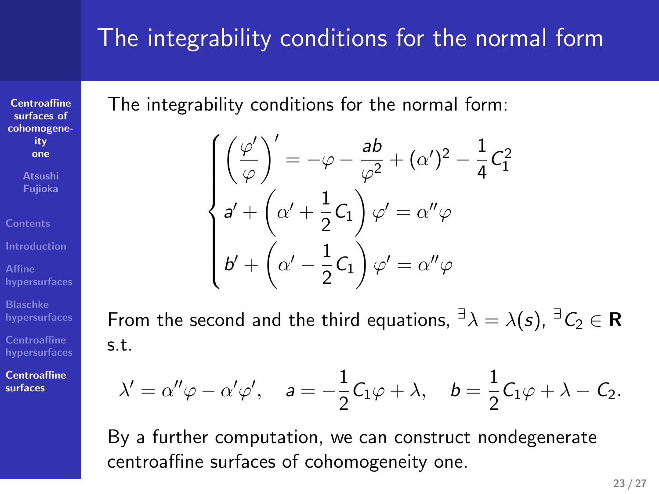# The integrability conditions for the normal form

**Centroaffine surfaces of cohomogeneity one**

**Atsushi Fujioka**

**Affine hypersurfaces Blaschke hypersurfaces Centroaffine hypersurfaces Centroaffine surfaces**

The integrability conditions for the normal form:

$$
\begin{cases}\n\left(\frac{\varphi'}{\varphi}\right)' = -\varphi - \frac{ab}{\varphi^2} + (\alpha')^2 - \frac{1}{4}C_1^2 \\
a' + \left(\alpha' + \frac{1}{2}C_1\right)\varphi' = \alpha''\varphi \\
b' + \left(\alpha' - \frac{1}{2}C_1\right)\varphi' = \alpha''\varphi\n\end{cases}
$$

From the second and the third equations,  ${}^{\exists} \lambda = \lambda(s)$ ,  ${}^{\exists} C_2 \in \mathbb{R}$ s.t.

$$
\lambda'=\alpha''\varphi-\alpha'\varphi',\quad a=-\frac{1}{2}C_1\varphi+\lambda,\quad b=\frac{1}{2}C_1\varphi+\lambda-C_2.
$$

By a further computation, we can construct nondegenerate centroaffine surfaces of cohomogeneity one.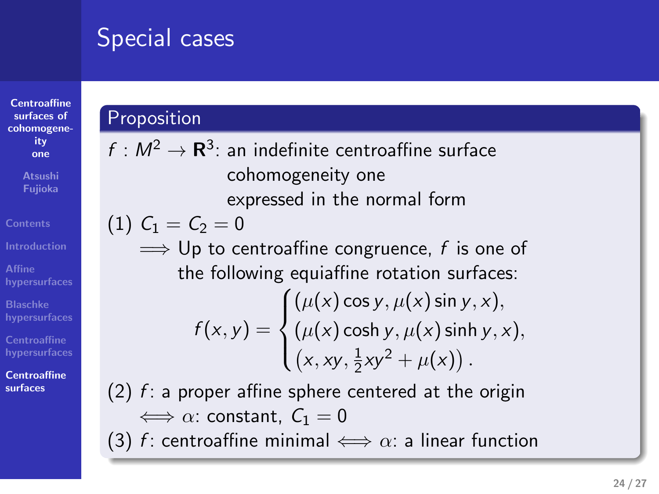### Special cases

### **Centroaffine surfaces of cohomogeneity one Atsushi Fujioka Contents Affine hypersurfaces Blaschke hypersurfaces Centroaffine hypersurfaces Centroaffine surfaces Proposition**  $f: M^2 \to \mathbf{R}^3$ : an indefinite centroaffine surface cohomogeneity one expressed in the normal form (1)  $C_1 = C_2 = 0$ =*⇒* Up to centroaffine congruence, *f* is one of the following equiaffine rotation surfaces:  $f(x, y) =$  $\sqrt{ }$  $\int$  $\overline{\mathcal{L}}$  $(\mu(x) \cos y, \mu(x) \sin y, x)$  $(\mu(x)$  cosh  $y, \mu(x)$  sinh  $y, x$ ),  $(x, xy, \frac{1}{2})$  $\frac{1}{2}xy^2 + \mu(x)$ . (2) *f* : a proper affine sphere centered at the origin  $\iff \alpha$ : constant,  $C_1 = 0$ (3) *f* : centroaffine minimal  $\iff \alpha$ : a linear function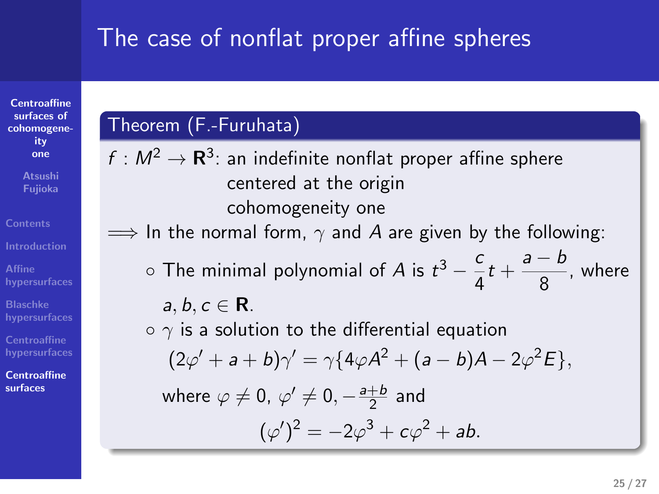# The case of nonflat proper affine spheres

### **Centroaffine surfaces of cohomogeneity one Atsushi Fujioka**

**Introduction Affine hypersurfaces**

**Contents**

**Blaschke hypersurfaces**

**Centroaffine surfaces**

# Theorem (F.-Furuhata)

 $f : M^2 \to \mathbf{R}^3$ : an indefinite nonflat proper affine sphere centered at the origin cohomogeneity one  $\implies$  In the normal form,  $\gamma$  and *A* are given by the following: *◦* The minimal polynomial of *A* is *t* <sup>3</sup> *− c*  $\frac{c}{4}t + \frac{a-b}{8}$  $\frac{2}{8}$ , where *a, b, c ∈* **R**. *◦ γ* is a solution to the differential equation  $(2\varphi' + a + b)\gamma' = \gamma\{4\varphi A^2 + (a - b)A - 2\varphi^2 E\},$ where  $\varphi \neq 0$ ,  $\varphi' \neq 0, -\frac{a+b}{2}$  $rac{+b}{2}$  and  $(\varphi')^2 = -2\varphi^3 + c\varphi^2 + ab$ .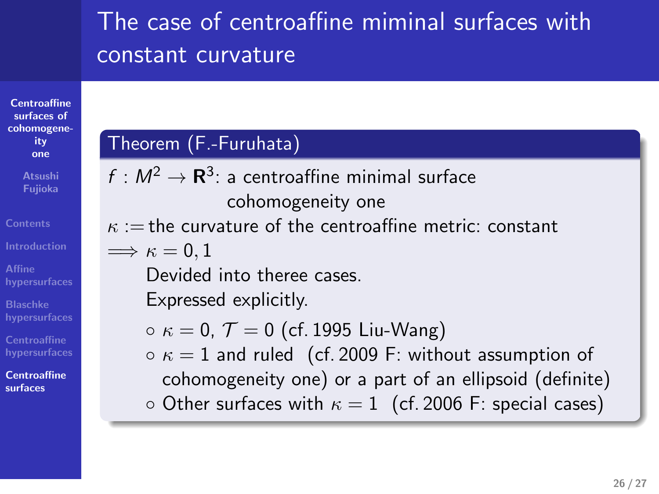# The case of centroaffine miminal surfaces with constant curvature

**Centroaffine surfaces of cohomogeneity one**

# **Contents**

**Affine hypersurfaces Blaschke hypersurfaces**

**Centroaffine hypersurfaces**

**Centroaffine**

**surfaces**

Theorem (F.-Furuhata)  $f: M^2 \to \mathbf{R}^3$ : a centroaffine minimal surface cohomogeneity one *κ* := the curvature of the centroaffine metric: constant  $\Longrightarrow \kappa = 0, 1$ Devided into theree cases. Expressed explicitly. *◦ κ* = 0, *T* = 0 (cf. 1995 Liu-Wang) *◦ κ* = 1 and ruled (cf. 2009 F: without assumption of cohomogeneity one) or a part of an ellipsoid (definite) *◦* Other surfaces with *κ* = 1 (cf. 2006 F: special cases)